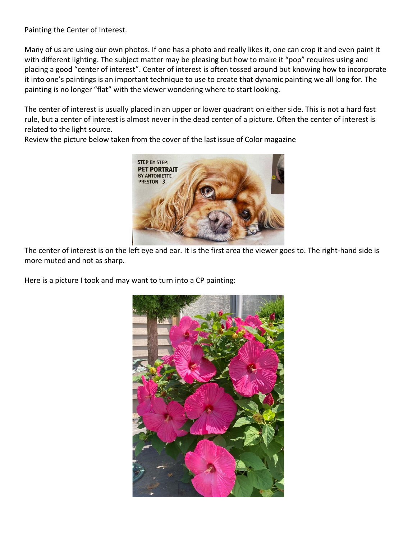Painting the Center of Interest.

Many of us are using our own photos. If one has a photo and really likes it, one can crop it and even paint it with different lighting. The subject matter may be pleasing but how to make it "pop" requires using and placing a good "center of interest". Center of interest is often tossed around but knowing how to incorporate it into one's paintings is an important technique to use to create that dynamic painting we all long for. The painting is no longer "flat" with the viewer wondering where to start looking.

The center of interest is usually placed in an upper or lower quadrant on either side. This is not a hard fast rule, but a center of interest is almost never in the dead center of a picture. Often the center of interest is related to the light source.



Review the picture below taken from the cover of the last issue of Color magazine

The center of interest is on the left eye and ear. It is the first area the viewer goes to. The right-hand side is more muted and not as sharp.

Here is a picture I took and may want to turn into a CP painting:

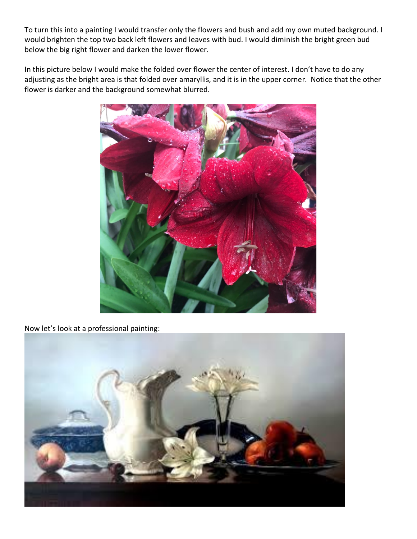To turn this into a painting I would transfer only the flowers and bush and add my own muted background. I would brighten the top two back left flowers and leaves with bud. I would diminish the bright green bud below the big right flower and darken the lower flower.

In this picture below I would make the folded over flower the center of interest. I don't have to do any adjusting as the bright area is that folded over amaryllis, and it is in the upper corner. Notice that the other flower is darker and the background somewhat blurred.



Now let's look at a professional painting: